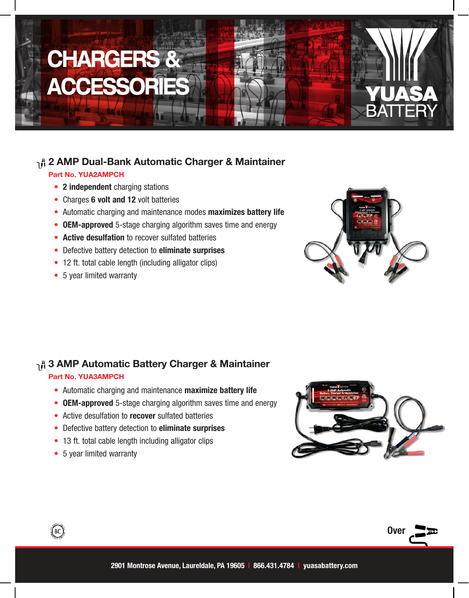# CHARGERS & **ACCESSORI**

# 1<sup>A</sup> 2 AMP Dual-Bank Automatic Charger & Maintainer

#### Part No. YUA2AMPCH

- 2 independent charging stations
- Charges 6 volt and 12 volt batteries
- Automatic charging and maintenance modes maximizes battery life
- OEM-approved 5-stage charging algorithm saves time and energy
- Active desulfation to recover sulfated batteries
- Defective battery detection to eliminate surprises
- 12 ft. total cable length (including alligator clips)
- 5 year limited warranty



## 1<sup>8</sup> 3 AMP Automatic Battery Charger & Maintainer

#### Part No. YUA3AMPCH

- Automatic charging and maintenance maximize battery life
- OEM-approved 5-stage charging algorithm saves time and energy
- Active desulfation to **recover** sulfated batteries
- Defective battery detection to eliminate surprises
- 13 ft. total cable length including alligator clips
- 5 year limited warranty

 $\left(\begin{smallmatrix} 1 & 0 \\ 0 & 1 \end{smallmatrix}\right)$